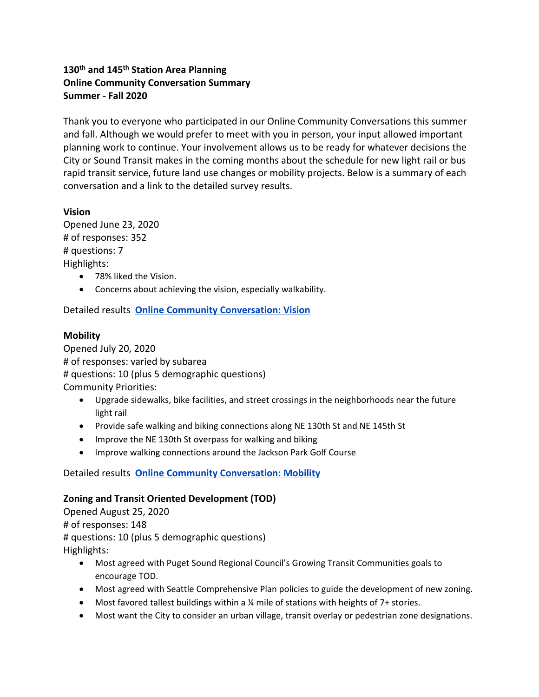# **130th and 145th Station Area Planning Online Community Conversation Summary Summer - Fall 2020**

Thank you to everyone who participated in our Online Community Conversations this summer and fall. Although we would prefer to meet with you in person, your input allowed important planning work to continue. Your involvement allows us to be ready for whatever decisions the City or Sound Transit makes in the coming months about the schedule for new light rail or bus rapid transit service, future land use changes or mobility projects. Below is a summary of each conversation and a link to the detailed survey results.

# **Vision**

Opened June 23, 2020 # of responses: 352 # questions: 7 Highlights:

- 78% liked the Vision.
- Concerns about achieving the vision, especially walkability.

Detailed results **[Online Community Conversation: Vision](https://www.surveymonkey.com/results/SM-QW9R8LRZ7/)**

## **Mobility**

Opened July 20, 2020 # of responses: varied by subarea # questions: 10 (plus 5 demographic questions) Community Priorities:

- Upgrade sidewalks, bike facilities, and street crossings in the neighborhoods near the future light rail
- Provide safe walking and biking connections along NE 130th St and NE 145th St
- Improve the NE 130th St overpass for walking and biking
- Improve walking connections around the Jackson Park Golf Course

Detailed results **[Online Community Conversation:](http://www.seattle.gov/Documents/Departments/OPCD/OngoingInitiatives/NE130thAnd145thStationAreaPlanning/130th148thMultimodalAccessStudy.pdf) Mobility**

#### **Zoning and Transit Oriented Development (TOD)**

Opened August 25, 2020 # of responses: 148 # questions: 10 (plus 5 demographic questions) Highlights:

- Most agreed with Puget Sound Regional Council's Growing Transit Communities goals to encourage TOD.
- Most agreed with Seattle Comprehensive Plan policies to guide the development of new zoning.
- Most favored tallest buildings within a ¼ mile of stations with heights of 7+ stories.
- Most want the City to consider an urban village, transit overlay or pedestrian zone designations.